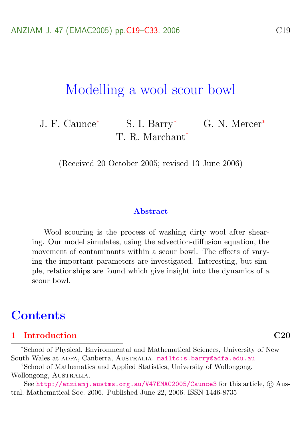# Modelling a wool scour bowl

J. F. Caunce<sup>\*</sup> S. I. Barry<sup>\*</sup> G. N. Mercer<sup>\*</sup> T. R. Marchant†

(Received 20 October 2005; revised 13 June 2006)

#### **Abstract**

Wool scouring is the process of washing dirty wool after shearing. Our model simulates, using the advection-diffusion equation, the movement of contaminants within a scour bowl. The effects of varying the important parameters are investigated. Interesting, but simple, relationships are found which give insight into the dynamics of a scour bowl.

## **Contents**

### [1 Introduction](#page-1-0) C20

<sup>∗</sup>School of Physical, Environmental and Mathematical Sciences, University of New South Wales at ADFA, Canberra, AUSTRALIA. <mailto:s.barry@adfa.edu.au>

†School of Mathematics and Applied Statistics, University of Wollongong, Wollongong, AUSTRALIA.

See <http://anziamj.austms.org.au/V47EMAC2005/Caunce3> for this article,  $\odot$  Austral. Mathematical Soc. 2006. Published June 22, 2006. ISSN 1446-8735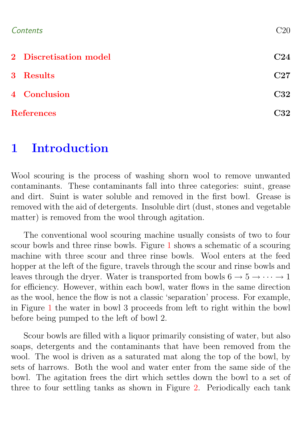| Contents | $\rm C20$ |
|----------|-----------|
|          |           |

| 2 Discretisation model | C24 |
|------------------------|-----|
| 3 Results              | C27 |
| 4 Conclusion           | C32 |
| <b>References</b>      | C32 |

# <span id="page-1-0"></span>1 Introduction

Wool scouring is the process of washing shorn wool to remove unwanted contaminants. These contaminants fall into three categories: suint, grease and dirt. Suint is water soluble and removed in the first bowl. Grease is removed with the aid of detergents. Insoluble dirt (dust, stones and vegetable matter) is removed from the wool through agitation.

The conventional wool scouring machine usually consists of two to four scour bowls and three rinse bowls. Figure [1](#page-2-0) shows a schematic of a scouring machine with three scour and three rinse bowls. Wool enters at the feed hopper at the left of the figure, travels through the scour and rinse bowls and leaves through the dryer. Water is transported from bowls  $6 \rightarrow 5 \rightarrow \cdots \rightarrow 1$ for efficiency. However, within each bowl, water flows in the same direction as the wool, hence the flow is not a classic 'separation' process. For example, in Figure [1](#page-2-0) the water in bowl 3 proceeds from left to right within the bowl before being pumped to the left of bowl 2.

Scour bowls are filled with a liquor primarily consisting of water, but also soaps, detergents and the contaminants that have been removed from the wool. The wool is driven as a saturated mat along the top of the bowl, by sets of harrows. Both the wool and water enter from the same side of the bowl. The agitation frees the dirt which settles down the bowl to a set of three to four settling tanks as shown in Figure [2.](#page-2-1) Periodically each tank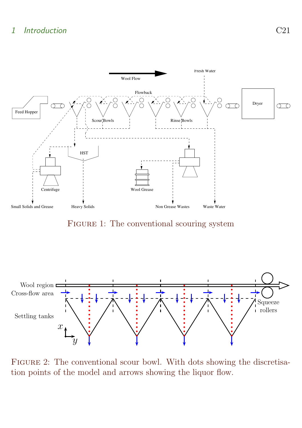### 1 Introduction C21



<span id="page-2-0"></span>FIGURE 1: The conventional scouring system



<span id="page-2-1"></span>Figure 2: The conventional scour bowl. With dots showing the discretisation points of the model and arrows showing the liquor flow.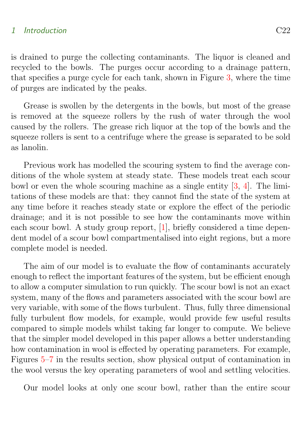### <span id="page-3-0"></span>1 Introduction C22

is drained to purge the collecting contaminants. The liquor is cleaned and recycled to the bowls. The purges occur according to a drainage pattern, that specifies a purge cycle for each tank, shown in Figure [3,](#page-4-1) where the time of purges are indicated by the peaks.

Grease is swollen by the detergents in the bowls, but most of the grease is removed at the squeeze rollers by the rush of water through the wool caused by the rollers. The grease rich liquor at the top of the bowls and the squeeze rollers is sent to a centrifuge where the grease is separated to be sold as lanolin.

Previous work has modelled the scouring system to find the average conditions of the whole system at steady state. These models treat each scour bowl or even the whole scouring machine as a single entity [\[3,](#page-14-0) [4\]](#page-14-1). The limitations of these models are that: they cannot find the state of the system at any time before it reaches steady state or explore the effect of the periodic drainage; and it is not possible to see how the contaminants move within each scour bowl. A study group report, [\[1\]](#page-13-2), briefly considered a time dependent model of a scour bowl compartmentalised into eight regions, but a more complete model is needed.

The aim of our model is to evaluate the flow of contaminants accurately enough to reflect the important features of the system, but be efficient enough to allow a computer simulation to run quickly. The scour bowl is not an exact system, many of the flows and parameters associated with the scour bowl are very variable, with some of the flows turbulent. Thus, fully three dimensional fully turbulent flow models, for example, would provide few useful results compared to simple models whilst taking far longer to compute. We believe that the simpler model developed in this paper allows a better understanding how contamination in wool is effected by operating parameters. For example, Figures [5–](#page-10-0)[7](#page-12-0) in the results section, show physical output of contamination in the wool versus the key operating parameters of wool and settling velocities.

Our model looks at only one scour bowl, rather than the entire scour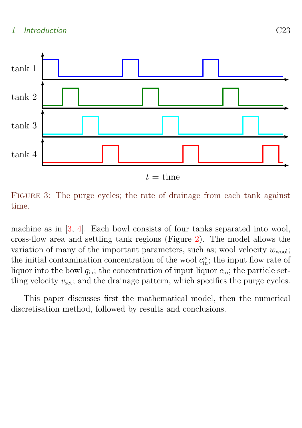<span id="page-4-2"></span>

 $t =$ time

<span id="page-4-1"></span>FIGURE 3: The purge cycles; the rate of drainage from each tank against time.

machine as in [\[3,](#page-14-0) [4\]](#page-14-1). Each bowl consists of four tanks separated into wool, cross-flow area and settling tank regions (Figure [2\)](#page-2-1). The model allows the variation of many of the important parameters, such as; wool velocity  $w_{\text{wool}}$ ; the initial contamination concentration of the wool  $c_{\text{in}}^w$ ; the input flow rate of liquor into the bowl  $q_{\text{in}}$ ; the concentration of input liquor  $c_{\text{in}}$ ; the particle settling velocity  $v_{\text{set}}$ ; and the drainage pattern, which specifies the purge cycles.

<span id="page-4-0"></span>This paper discusses first the mathematical model, then the numerical discretisation method, followed by results and conclusions.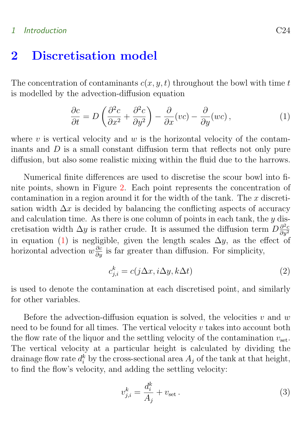### 1 Introduction C24

### 2 Discretisation model

The concentration of contaminants  $c(x, y, t)$  throughout the bowl with time t is modelled by the advection-diffusion equation

<span id="page-5-0"></span>
$$
\frac{\partial c}{\partial t} = D\left(\frac{\partial^2 c}{\partial x^2} + \frac{\partial^2 c}{\partial y^2}\right) - \frac{\partial}{\partial x}(vc) - \frac{\partial}{\partial y}(wc),\tag{1}
$$

where v is vertical velocity and  $w$  is the horizontal velocity of the contaminants and  $D$  is a small constant diffusion term that reflects not only pure diffusion, but also some realistic mixing within the fluid due to the harrows.

Numerical finite differences are used to discretise the scour bowl into finite points, shown in Figure [2.](#page-2-1) Each point represents the concentration of contamination in a region around it for the width of the tank. The  $x$  discretisation width  $\Delta x$  is decided by balancing the conflicting aspects of accuracy and calculation time. As there is one column of points in each tank, the  $y$  discretisation width  $\Delta y$  is rather crude. It is assumed the diffusion term  $D\frac{\partial^2 c}{\partial y^2}$  $\partial y^2$ in equation [\(1\)](#page-5-0) is negligible, given the length scales  $\Delta y$ , as the effect of horizontal advection  $w \frac{\partial c}{\partial y}$  is far greater than diffusion. For simplicity,

$$
c_{j,i}^k = c(j\Delta x, i\Delta y, k\Delta t)
$$
\n(2)

is used to denote the contamination at each discretised point, and similarly for other variables.

Before the advection-diffusion equation is solved, the velocities v and w need to be found for all times. The vertical velocity v takes into account both the flow rate of the liquor and the settling velocity of the contamination  $v_{\text{set}}$ . The vertical velocity at a particular height is calculated by dividing the drainage flow rate  $d_i^k$  by the cross-sectional area  $A_j$  of the tank at that height, to find the flow's velocity, and adding the settling velocity:

$$
v_{j,i}^k = \frac{d_i^k}{A_j} + v_{\text{set}}.
$$
\n
$$
(3)
$$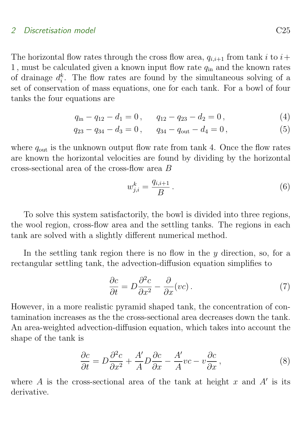#### 2 Discretisation model C<sub>25</sub> C<sub>25</sub> C<sub>25</sub> C<sub>25</sub> C<sub>25</sub> C<sub>25</sub> C<sub>25</sub>

The horizontal flow rates through the cross flow area,  $q_{i,i+1}$  from tank i to  $i+1$ 1, must be calculated given a known input flow rate  $q_{\text{in}}$  and the known rates of drainage  $d_i^k$ . The flow rates are found by the simultaneous solving of a set of conservation of mass equations, one for each tank. For a bowl of four tanks the four equations are

$$
q_{\rm in} - q_{12} - d_1 = 0, \qquad q_{12} - q_{23} - d_2 = 0, \tag{4}
$$

$$
q_{23} - q_{34} - d_3 = 0, \qquad q_{34} - q_{\text{out}} - d_4 = 0, \tag{5}
$$

where  $q_{\text{out}}$  is the unknown output flow rate from tank 4. Once the flow rates are known the horizontal velocities are found by dividing by the horizontal cross-sectional area of the cross-flow area B

$$
w_{j,i}^k = \frac{q_{i,i+1}}{B} \,. \tag{6}
$$

To solve this system satisfactorily, the bowl is divided into three regions, the wool region, cross-flow area and the settling tanks. The regions in each tank are solved with a slightly different numerical method.

In the settling tank region there is no flow in the  $y$  direction, so, for a rectangular settling tank, the advection-diffusion equation simplifies to

$$
\frac{\partial c}{\partial t} = D \frac{\partial^2 c}{\partial x^2} - \frac{\partial}{\partial x} (vc) \,. \tag{7}
$$

However, in a more realistic pyramid shaped tank, the concentration of contamination increases as the the cross-sectional area decreases down the tank. An area-weighted advection-diffusion equation, which takes into account the shape of the tank is

$$
\frac{\partial c}{\partial t} = D \frac{\partial^2 c}{\partial x^2} + \frac{A'}{A} D \frac{\partial c}{\partial x} - \frac{A'}{A} vc - v \frac{\partial c}{\partial x},\tag{8}
$$

where A is the cross-sectional area of the tank at height x and  $A'$  is its derivative.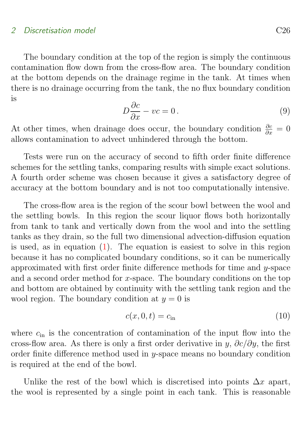#### 2 Discretisation model C<sub>26</sub> C<sub>26</sub> C<sub>26</sub> C<sub>26</sub> C<sub>26</sub> C<sub>26</sub> C<sub>26</sub>

The boundary condition at the top of the region is simply the continuous contamination flow down from the cross-flow area. The boundary condition at the bottom depends on the drainage regime in the tank. At times when there is no drainage occurring from the tank, the no flux boundary condition is

$$
D\frac{\partial c}{\partial x} - vc = 0.
$$
 (9)

At other times, when drainage does occur, the boundary condition  $\frac{\partial c}{\partial x} = 0$ allows contamination to advect unhindered through the bottom.

Tests were run on the accuracy of second to fifth order finite difference schemes for the settling tanks, comparing results with simple exact solutions. A fourth order scheme was chosen because it gives a satisfactory degree of accuracy at the bottom boundary and is not too computationally intensive.

The cross-flow area is the region of the scour bowl between the wool and the settling bowls. In this region the scour liquor flows both horizontally from tank to tank and vertically down from the wool and into the settling tanks as they drain, so the full two dimensional advection-diffusion equation is used, as in equation [\(1\)](#page-5-0). The equation is easiest to solve in this region because it has no complicated boundary conditions, so it can be numerically approximated with first order finite difference methods for time and y-space and a second order method for  $x$ -space. The boundary conditions on the top and bottom are obtained by continuity with the settling tank region and the wool region. The boundary condition at  $y = 0$  is

$$
c(x,0,t) = c_{\rm in} \tag{10}
$$

where  $c_{\rm in}$  is the concentration of contamination of the input flow into the cross-flow area. As there is only a first order derivative in y,  $\partial c/\partial y$ , the first order finite difference method used in y-space means no boundary condition is required at the end of the bowl.

Unlike the rest of the bowl which is discretised into points  $\Delta x$  apart, the wool is represented by a single point in each tank. This is reasonable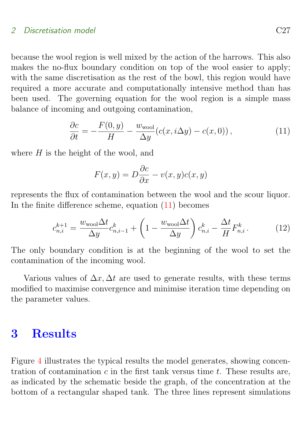### 2 Discretisation model C27

because the wool region is well mixed by the action of the harrows. This also makes the no-flux boundary condition on top of the wool easier to apply; with the same discretisation as the rest of the bowl, this region would have required a more accurate and computationally intensive method than has been used. The governing equation for the wool region is a simple mass balance of incoming and outgoing contamination,

$$
\frac{\partial c}{\partial t} = -\frac{F(0, y)}{H} - \frac{w_{\text{wool}}}{\Delta y} (c(x, i\Delta y) - c(x, 0)),\tag{11}
$$

where  $H$  is the height of the wool, and

<span id="page-8-1"></span>
$$
F(x, y) = D\frac{\partial c}{\partial x} - v(x, y)c(x, y)
$$

represents the flux of contamination between the wool and the scour liquor. In the finite difference scheme, equation [\(11\)](#page-8-1) becomes

$$
c_{n,i}^{k+1} = \frac{w_{\text{wood}}\Delta t}{\Delta y} c_{n,i-1}^k + \left(1 - \frac{w_{\text{wood}}\Delta t}{\Delta y}\right) c_{n,i}^k - \frac{\Delta t}{H} F_{n,i}^k. \tag{12}
$$

The only boundary condition is at the beginning of the wool to set the contamination of the incoming wool.

Various values of  $\Delta x$ ,  $\Delta t$  are used to generate results, with these terms modified to maximise convergence and minimise iteration time depending on the parameter values.

## <span id="page-8-0"></span>3 Results

Figure [4](#page-9-0) illustrates the typical results the model generates, showing concentration of contamination  $c$  in the first tank versus time  $t$ . These results are, as indicated by the schematic beside the graph, of the concentration at the bottom of a rectangular shaped tank. The three lines represent simulations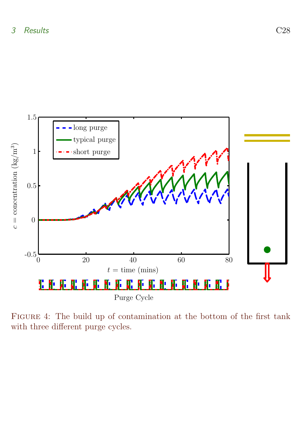

<span id="page-9-0"></span>Figure 4: The build up of contamination at the bottom of the first tank with three different purge cycles.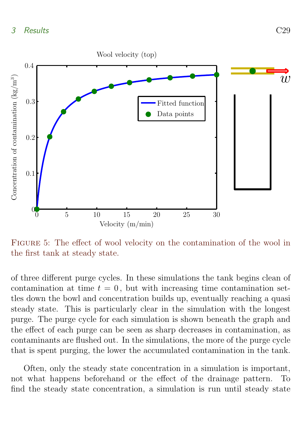

<span id="page-10-0"></span>Figure 5: The effect of wool velocity on the contamination of the wool in the first tank at steady state.

of three different purge cycles. In these simulations the tank begins clean of contamination at time  $t = 0$ , but with increasing time contamination settles down the bowl and concentration builds up, eventually reaching a quasi steady state. This is particularly clear in the simulation with the longest purge. The purge cycle for each simulation is shown beneath the graph and the effect of each purge can be seen as sharp decreases in contamination, as contaminants are flushed out. In the simulations, the more of the purge cycle that is spent purging, the lower the accumulated contamination in the tank.

Often, only the steady state concentration in a simulation is important, not what happens beforehand or the effect of the drainage pattern. To find the steady state concentration, a simulation is run until steady state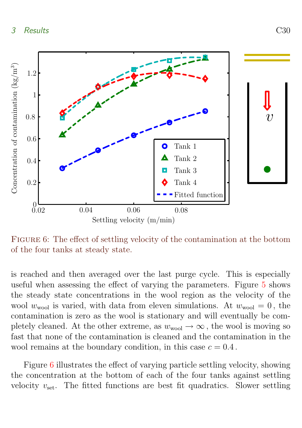

<span id="page-11-0"></span>FIGURE 6: The effect of settling velocity of the contamination at the bottom of the four tanks at steady state.

is reached and then averaged over the last purge cycle. This is especially useful when assessing the effect of varying the parameters. Figure [5](#page-10-0) shows the steady state concentrations in the wool region as the velocity of the wool  $w_{\text{wool}}$  is varied, with data from eleven simulations. At  $w_{\text{wool}} = 0$ , the contamination is zero as the wool is stationary and will eventually be completely cleaned. At the other extreme, as  $w_{\text{wool}} \rightarrow \infty$ , the wool is moving so fast that none of the contamination is cleaned and the contamination in the wool remains at the boundary condition, in this case  $c = 0.4$ .

Figure [6](#page-11-0) illustrates the effect of varying particle settling velocity, showing the concentration at the bottom of each of the four tanks against settling velocity  $v_{\text{set}}$ . The fitted functions are best fit quadratics. Slower settling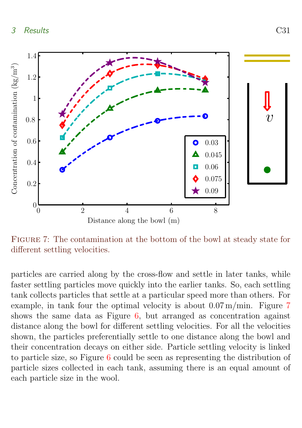

<span id="page-12-0"></span>Distance along the bowl (m)

FIGURE 7: The contamination at the bottom of the bowl at steady state for different settling velocities.

particles are carried along by the cross-flow and settle in later tanks, while faster settling particles move quickly into the earlier tanks. So, each settling tank collects particles that settle at a particular speed more than others. For example, in tank four the optimal velocity is about 0.07 m/min. Figure [7](#page-12-0) shows the same data as Figure [6,](#page-11-0) but arranged as concentration against distance along the bowl for different settling velocities. For all the velocities shown, the particles preferentially settle to one distance along the bowl and their concentration decays on either side. Particle settling velocity is linked to particle size, so Figure [6](#page-11-0) could be seen as representing the distribution of particle sizes collected in each tank, assuming there is an equal amount of each particle size in the wool.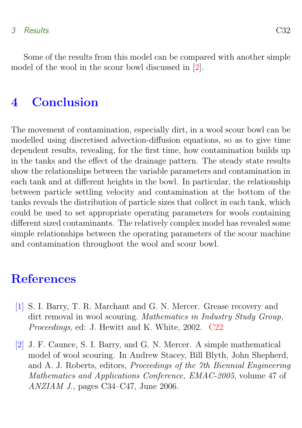### <span id="page-13-4"></span>3 Results C32

Some of the results from this model can be compared with another simple model of the wool in the scour bowl discussed in [\[2\]](#page-13-3).

## <span id="page-13-1"></span>4 Conclusion

The movement of contamination, especially dirt, in a wool scour bowl can be modelled using discretised advection-diffusion equations, so as to give time dependent results, revealing, for the first time, how contamination builds up in the tanks and the effect of the drainage pattern. The steady state results show the relationships between the variable parameters and contamination in each tank and at different heights in the bowl. In particular, the relationship between particle settling velocity and contamination at the bottom of the tanks reveals the distribution of particle sizes that collect in each tank, which could be used to set appropriate operating parameters for wools containing different sized contaminants. The relatively complex model has revealed some simple relationships between the operating parameters of the scour machine and contamination throughout the wool and scour bowl.

# **References**

- <span id="page-13-2"></span><span id="page-13-0"></span>[1] S. I. Barry, T. R. Marchant and G. N. Mercer. Grease recovery and dirt removal in wool scouring. Mathematics in Industry Study Group, Proceedings, ed: J. Hewitt and K. White, 2002. [C22](#page-3-0)
- <span id="page-13-3"></span>[2] J. F. Caunce, S. I. Barry, and G. N. Mercer. A simple mathematical model of wool scouring. In Andrew Stacey, Bill Blyth, John Shepherd, and A. J. Roberts, editors, Proceedings of the 7th Biennial Engineering Mathematics and Applications Conference, EMAC-2005, volume 47 of ANZIAM J., pages C34–C47, June 2006.